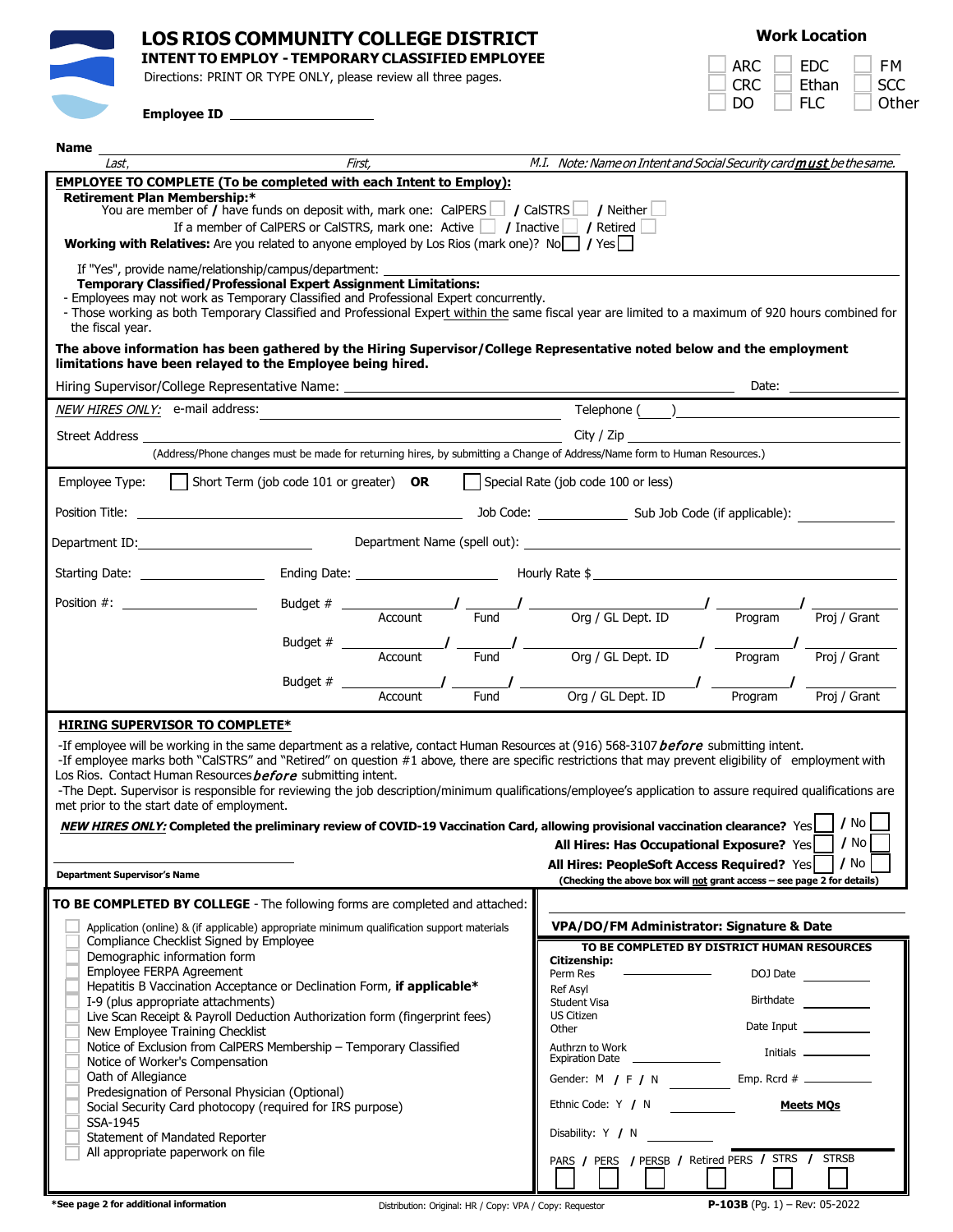| LOS RIOS COMMUNITY COLLEGE DISTRICT<br><b>INTENT TO EMPLOY - TEMPORARY CLASSIFIED EMPLOYEE</b>                    |                                                                                                                                                                                                                                |                                                                                                                                                                                                                                                                                                                                                                                                                           |        |  |  |                                                                                                                                                                                                                                                                                                                                                                                                                           | <b>Work Location</b> |                  |                  |  |
|-------------------------------------------------------------------------------------------------------------------|--------------------------------------------------------------------------------------------------------------------------------------------------------------------------------------------------------------------------------|---------------------------------------------------------------------------------------------------------------------------------------------------------------------------------------------------------------------------------------------------------------------------------------------------------------------------------------------------------------------------------------------------------------------------|--------|--|--|---------------------------------------------------------------------------------------------------------------------------------------------------------------------------------------------------------------------------------------------------------------------------------------------------------------------------------------------------------------------------------------------------------------------------|----------------------|------------------|------------------|--|
|                                                                                                                   |                                                                                                                                                                                                                                |                                                                                                                                                                                                                                                                                                                                                                                                                           |        |  |  |                                                                                                                                                                                                                                                                                                                                                                                                                           | <b>ARC</b>           | <b>EDC</b>       | <b>FM</b>        |  |
|                                                                                                                   | Directions: PRINT OR TYPE ONLY, please review all three pages.                                                                                                                                                                 |                                                                                                                                                                                                                                                                                                                                                                                                                           |        |  |  |                                                                                                                                                                                                                                                                                                                                                                                                                           | <b>CRC</b>           | Ethan            | <b>SCC</b>       |  |
|                                                                                                                   | Employee ID _____________________                                                                                                                                                                                              |                                                                                                                                                                                                                                                                                                                                                                                                                           |        |  |  |                                                                                                                                                                                                                                                                                                                                                                                                                           | D <sub>O</sub>       | <b>FLC</b>       | Other            |  |
|                                                                                                                   |                                                                                                                                                                                                                                |                                                                                                                                                                                                                                                                                                                                                                                                                           |        |  |  |                                                                                                                                                                                                                                                                                                                                                                                                                           |                      |                  |                  |  |
| Name<br>Last.                                                                                                     |                                                                                                                                                                                                                                |                                                                                                                                                                                                                                                                                                                                                                                                                           | First, |  |  | M.I. Note: Name on Intent and Social Security card <i>must</i> be the same.                                                                                                                                                                                                                                                                                                                                               |                      |                  |                  |  |
|                                                                                                                   | <b>EMPLOYEE TO COMPLETE (To be completed with each Intent to Employ):</b>                                                                                                                                                      |                                                                                                                                                                                                                                                                                                                                                                                                                           |        |  |  |                                                                                                                                                                                                                                                                                                                                                                                                                           |                      |                  |                  |  |
| Retirement Plan Membership:*                                                                                      |                                                                                                                                                                                                                                |                                                                                                                                                                                                                                                                                                                                                                                                                           |        |  |  | You are member of / have funds on deposit with, mark one: CalPERS   / CalSTRS   / Neither                                                                                                                                                                                                                                                                                                                                 |                      |                  |                  |  |
|                                                                                                                   |                                                                                                                                                                                                                                |                                                                                                                                                                                                                                                                                                                                                                                                                           |        |  |  | If a member of CalPERS or CalSTRS, mark one: Active $\Box$ / Inactive $\Box$ / Retired                                                                                                                                                                                                                                                                                                                                    |                      |                  |                  |  |
|                                                                                                                   | <b>Working with Relatives:</b> Are you related to anyone employed by Los Rios (mark one)? No $\Box$ / Yes                                                                                                                      |                                                                                                                                                                                                                                                                                                                                                                                                                           |        |  |  |                                                                                                                                                                                                                                                                                                                                                                                                                           |                      |                  |                  |  |
|                                                                                                                   |                                                                                                                                                                                                                                |                                                                                                                                                                                                                                                                                                                                                                                                                           |        |  |  |                                                                                                                                                                                                                                                                                                                                                                                                                           |                      |                  |                  |  |
|                                                                                                                   | <b>Temporary Classified/Professional Expert Assignment Limitations:</b><br>- Employees may not work as Temporary Classified and Professional Expert concurrently.                                                              |                                                                                                                                                                                                                                                                                                                                                                                                                           |        |  |  |                                                                                                                                                                                                                                                                                                                                                                                                                           |                      |                  |                  |  |
|                                                                                                                   |                                                                                                                                                                                                                                |                                                                                                                                                                                                                                                                                                                                                                                                                           |        |  |  | - Those working as both Temporary Classified and Professional Expert within the same fiscal year are limited to a maximum of 920 hours combined for                                                                                                                                                                                                                                                                       |                      |                  |                  |  |
| the fiscal year.                                                                                                  |                                                                                                                                                                                                                                |                                                                                                                                                                                                                                                                                                                                                                                                                           |        |  |  |                                                                                                                                                                                                                                                                                                                                                                                                                           |                      |                  |                  |  |
|                                                                                                                   | limitations have been relayed to the Employee being hired.                                                                                                                                                                     |                                                                                                                                                                                                                                                                                                                                                                                                                           |        |  |  | The above information has been gathered by the Hiring Supervisor/College Representative noted below and the employment                                                                                                                                                                                                                                                                                                    |                      |                  |                  |  |
|                                                                                                                   |                                                                                                                                                                                                                                |                                                                                                                                                                                                                                                                                                                                                                                                                           |        |  |  | Hiring Supervisor/College Representative Name: __________________________________                                                                                                                                                                                                                                                                                                                                         |                      |                  |                  |  |
|                                                                                                                   |                                                                                                                                                                                                                                |                                                                                                                                                                                                                                                                                                                                                                                                                           |        |  |  |                                                                                                                                                                                                                                                                                                                                                                                                                           |                      |                  |                  |  |
|                                                                                                                   |                                                                                                                                                                                                                                |                                                                                                                                                                                                                                                                                                                                                                                                                           |        |  |  |                                                                                                                                                                                                                                                                                                                                                                                                                           |                      |                  |                  |  |
|                                                                                                                   |                                                                                                                                                                                                                                |                                                                                                                                                                                                                                                                                                                                                                                                                           |        |  |  | (Address/Phone changes must be made for returning hires, by submitting a Change of Address/Name form to Human Resources.)                                                                                                                                                                                                                                                                                                 |                      |                  |                  |  |
|                                                                                                                   | Employee Type: $\vert$ Short Term (job code 101 or greater) OR                                                                                                                                                                 |                                                                                                                                                                                                                                                                                                                                                                                                                           |        |  |  | Special Rate (job code 100 or less)                                                                                                                                                                                                                                                                                                                                                                                       |                      |                  |                  |  |
|                                                                                                                   |                                                                                                                                                                                                                                |                                                                                                                                                                                                                                                                                                                                                                                                                           |        |  |  |                                                                                                                                                                                                                                                                                                                                                                                                                           |                      |                  |                  |  |
|                                                                                                                   |                                                                                                                                                                                                                                |                                                                                                                                                                                                                                                                                                                                                                                                                           |        |  |  |                                                                                                                                                                                                                                                                                                                                                                                                                           |                      |                  |                  |  |
|                                                                                                                   | Department ID: Note that the series of the series of the series of the series of the series of the series of the series of the series of the series of the series of the series of the series of the series of the series of t |                                                                                                                                                                                                                                                                                                                                                                                                                           |        |  |  |                                                                                                                                                                                                                                                                                                                                                                                                                           |                      |                  |                  |  |
|                                                                                                                   |                                                                                                                                                                                                                                |                                                                                                                                                                                                                                                                                                                                                                                                                           |        |  |  |                                                                                                                                                                                                                                                                                                                                                                                                                           |                      |                  |                  |  |
|                                                                                                                   |                                                                                                                                                                                                                                |                                                                                                                                                                                                                                                                                                                                                                                                                           |        |  |  |                                                                                                                                                                                                                                                                                                                                                                                                                           |                      |                  |                  |  |
|                                                                                                                   |                                                                                                                                                                                                                                |                                                                                                                                                                                                                                                                                                                                                                                                                           |        |  |  | Budget # $\frac{1}{\sqrt{1-\frac{1}{\sqrt{1-\frac{1}{\sqrt{1-\frac{1}{\sqrt{1-\frac{1}{\sqrt{1-\frac{1}{\sqrt{1-\frac{1}{\sqrt{1-\frac{1}{\sqrt{1-\frac{1}{\sqrt{1-\frac{1}{\sqrt{1-\frac{1}{\sqrt{1-\frac{1}{\sqrt{1-\frac{1}{\sqrt{1-\frac{1}{\sqrt{1-\frac{1}{\sqrt{1-\frac{1}{\sqrt{1-\frac{1}{\sqrt{1-\frac{1}{\sqrt{1-\frac{1}{\sqrt{1-\frac{1}{\sqrt{1-\frac{1}{\sqrt{1-\frac{1}{\sqrt{1-\frac{1}{\sqrt{1-\frac{1$ |                      |                  | Proj / Grant     |  |
|                                                                                                                   |                                                                                                                                                                                                                                | Budget #                                                                                                                                                                                                                                                                                                                                                                                                                  |        |  |  |                                                                                                                                                                                                                                                                                                                                                                                                                           |                      |                  |                  |  |
|                                                                                                                   |                                                                                                                                                                                                                                |                                                                                                                                                                                                                                                                                                                                                                                                                           |        |  |  | Account / — / — / — Org / GL Dept. ID / — Program                                                                                                                                                                                                                                                                                                                                                                         |                      |                  | Proj / Grant     |  |
|                                                                                                                   |                                                                                                                                                                                                                                | Budget # $\frac{1}{\sqrt{1-\frac{1}{\sqrt{1-\frac{1}{\sqrt{1-\frac{1}{\sqrt{1-\frac{1}{\sqrt{1-\frac{1}{\sqrt{1-\frac{1}{\sqrt{1-\frac{1}{\sqrt{1-\frac{1}{\sqrt{1-\frac{1}{\sqrt{1-\frac{1}{\sqrt{1-\frac{1}{\sqrt{1-\frac{1}{\sqrt{1-\frac{1}{\sqrt{1-\frac{1}{\sqrt{1-\frac{1}{\sqrt{1-\frac{1}{\sqrt{1-\frac{1}{\sqrt{1-\frac{1}{\sqrt{1-\frac{1}{\sqrt{1-\frac{1}{\sqrt{1-\frac{1}{\sqrt{1-\frac{1}{\sqrt{1-\frac{1$ |        |  |  | $\frac{1}{\log  G  \cdot \log  G }$ $\frac{1}{\log  G }$                                                                                                                                                                                                                                                                                                                                                                  |                      |                  |                  |  |
|                                                                                                                   |                                                                                                                                                                                                                                |                                                                                                                                                                                                                                                                                                                                                                                                                           |        |  |  |                                                                                                                                                                                                                                                                                                                                                                                                                           | P <sub>rogram</sub>  |                  | Proj / Grant     |  |
|                                                                                                                   | <b>HIRING SUPERVISOR TO COMPLETE*</b>                                                                                                                                                                                          |                                                                                                                                                                                                                                                                                                                                                                                                                           |        |  |  |                                                                                                                                                                                                                                                                                                                                                                                                                           |                      |                  |                  |  |
|                                                                                                                   |                                                                                                                                                                                                                                |                                                                                                                                                                                                                                                                                                                                                                                                                           |        |  |  | -If employee will be working in the same department as a relative, contact Human Resources at (916) 568-3107 <b>before</b> submitting intent.                                                                                                                                                                                                                                                                             |                      |                  |                  |  |
|                                                                                                                   | Los Rios. Contact Human Resources before submitting intent.                                                                                                                                                                    |                                                                                                                                                                                                                                                                                                                                                                                                                           |        |  |  | -If employee marks both "CalSTRS" and "Retired" on question #1 above, there are specific restrictions that may prevent eligibility of employment with                                                                                                                                                                                                                                                                     |                      |                  |                  |  |
|                                                                                                                   |                                                                                                                                                                                                                                |                                                                                                                                                                                                                                                                                                                                                                                                                           |        |  |  | -The Dept. Supervisor is responsible for reviewing the job description/minimum qualifications/employee's application to assure required qualifications are                                                                                                                                                                                                                                                                |                      |                  |                  |  |
|                                                                                                                   | met prior to the start date of employment.                                                                                                                                                                                     |                                                                                                                                                                                                                                                                                                                                                                                                                           |        |  |  |                                                                                                                                                                                                                                                                                                                                                                                                                           |                      |                  |                  |  |
|                                                                                                                   |                                                                                                                                                                                                                                |                                                                                                                                                                                                                                                                                                                                                                                                                           |        |  |  | NEW HIRES ONLY: Completed the preliminary review of COVID-19 Vaccination Card, allowing provisional vaccination clearance? Yes                                                                                                                                                                                                                                                                                            |                      |                  | $/$ No<br>$/$ No |  |
|                                                                                                                   |                                                                                                                                                                                                                                |                                                                                                                                                                                                                                                                                                                                                                                                                           |        |  |  | All Hires: Has Occupational Exposure? Yes<br>$/$ No<br>All Hires: PeopleSoft Access Required? Yes                                                                                                                                                                                                                                                                                                                         |                      |                  |                  |  |
| <b>Department Supervisor's Name</b>                                                                               |                                                                                                                                                                                                                                |                                                                                                                                                                                                                                                                                                                                                                                                                           |        |  |  | (Checking the above box will not grant access - see page 2 for details)                                                                                                                                                                                                                                                                                                                                                   |                      |                  |                  |  |
|                                                                                                                   | <b>TO BE COMPLETED BY COLLEGE</b> - The following forms are completed and attached:                                                                                                                                            |                                                                                                                                                                                                                                                                                                                                                                                                                           |        |  |  |                                                                                                                                                                                                                                                                                                                                                                                                                           |                      |                  |                  |  |
| Application (online) & (if applicable) appropriate minimum qualification support materials                        |                                                                                                                                                                                                                                |                                                                                                                                                                                                                                                                                                                                                                                                                           |        |  |  | VPA/DO/FM Administrator: Signature & Date                                                                                                                                                                                                                                                                                                                                                                                 |                      |                  |                  |  |
| Compliance Checklist Signed by Employee                                                                           |                                                                                                                                                                                                                                |                                                                                                                                                                                                                                                                                                                                                                                                                           |        |  |  | TO BE COMPLETED BY DISTRICT HUMAN RESOURCES                                                                                                                                                                                                                                                                                                                                                                               |                      |                  |                  |  |
| Demographic information form<br>Employee FERPA Agreement                                                          |                                                                                                                                                                                                                                |                                                                                                                                                                                                                                                                                                                                                                                                                           |        |  |  | Citizenship:<br>Perm Res                                                                                                                                                                                                                                                                                                                                                                                                  |                      | DOJ Date         |                  |  |
| Hepatitis B Vaccination Acceptance or Declination Form, if applicable*                                            |                                                                                                                                                                                                                                |                                                                                                                                                                                                                                                                                                                                                                                                                           |        |  |  | Ref Asyl                                                                                                                                                                                                                                                                                                                                                                                                                  |                      | <b>Birthdate</b> |                  |  |
| I-9 (plus appropriate attachments)<br>Live Scan Receipt & Payroll Deduction Authorization form (fingerprint fees) |                                                                                                                                                                                                                                |                                                                                                                                                                                                                                                                                                                                                                                                                           |        |  |  | <b>Student Visa</b><br>US Citizen                                                                                                                                                                                                                                                                                                                                                                                         |                      |                  |                  |  |
| New Employee Training Checklist                                                                                   |                                                                                                                                                                                                                                |                                                                                                                                                                                                                                                                                                                                                                                                                           |        |  |  | Other                                                                                                                                                                                                                                                                                                                                                                                                                     |                      | Date Input       |                  |  |
| Notice of Exclusion from CalPERS Membership - Temporary Classified<br>Notice of Worker's Compensation             |                                                                                                                                                                                                                                |                                                                                                                                                                                                                                                                                                                                                                                                                           |        |  |  | Authrzn to Work<br>Auunzii to vvork<br>Expiration Date                                                                                                                                                                                                                                                                                                                                                                    |                      |                  |                  |  |
| Oath of Allegiance                                                                                                |                                                                                                                                                                                                                                |                                                                                                                                                                                                                                                                                                                                                                                                                           |        |  |  |                                                                                                                                                                                                                                                                                                                                                                                                                           |                      |                  |                  |  |
| Predesignation of Personal Physician (Optional)<br>Social Security Card photocopy (required for IRS purpose)      |                                                                                                                                                                                                                                |                                                                                                                                                                                                                                                                                                                                                                                                                           |        |  |  | Ethnic Code: Y / N<br><b>Meets MQs</b>                                                                                                                                                                                                                                                                                                                                                                                    |                      |                  |                  |  |
| SSA-1945                                                                                                          |                                                                                                                                                                                                                                |                                                                                                                                                                                                                                                                                                                                                                                                                           |        |  |  | Disability: Y / N                                                                                                                                                                                                                                                                                                                                                                                                         |                      |                  |                  |  |
|                                                                                                                   | Statement of Mandated Reporter<br>All appropriate paperwork on file                                                                                                                                                            |                                                                                                                                                                                                                                                                                                                                                                                                                           |        |  |  | PARS / PERS / PERSB / Retired PERS / STRS / STRSB                                                                                                                                                                                                                                                                                                                                                                         |                      |                  |                  |  |
|                                                                                                                   |                                                                                                                                                                                                                                |                                                                                                                                                                                                                                                                                                                                                                                                                           |        |  |  |                                                                                                                                                                                                                                                                                                                                                                                                                           |                      |                  |                  |  |
|                                                                                                                   |                                                                                                                                                                                                                                |                                                                                                                                                                                                                                                                                                                                                                                                                           |        |  |  |                                                                                                                                                                                                                                                                                                                                                                                                                           |                      |                  |                  |  |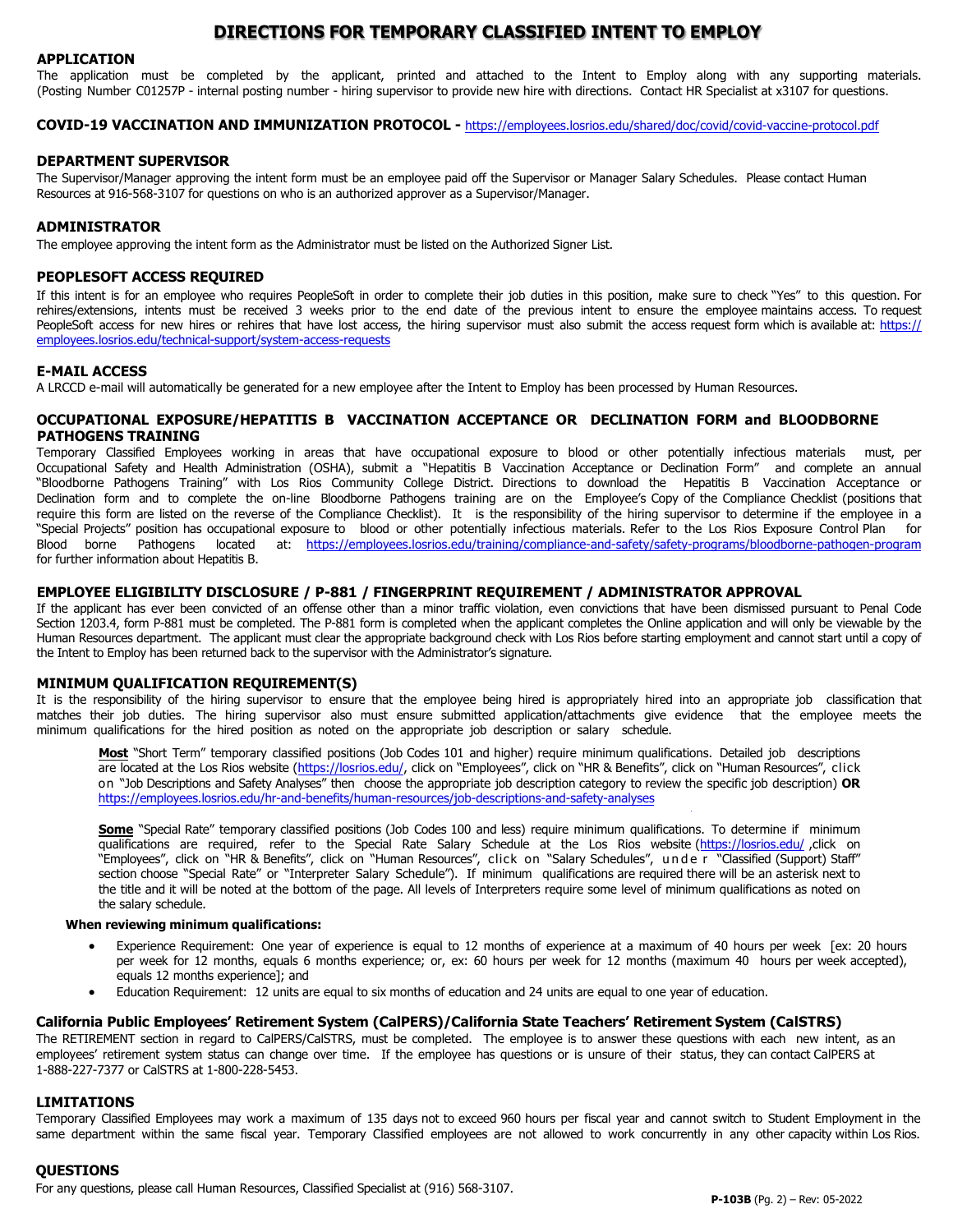# **DIRECTIONS FOR TEMPORARY CLASSIFIED INTENT TO EMPLOY**

## **APPLICATION**

The application must be completed by the applicant, printed and attached to the Intent to Employ along with any supporting materials. (Posting Number C01257P - internal posting number - hiring supervisor to provide new hire with directions. Contact HR Specialist at x3107 for questions.

#### **COVID-19 VACCINATION AND IMMUNIZATION PROTOCOL -** <https://employees.losrios.edu/shared/doc/covid/covid-vaccine-protocol.pdf>

#### **DEPARTMENT SUPERVISOR**

The Supervisor/Manager approving the intent form must be an employee paid off the Supervisor or Manager Salary Schedules. Please contact Human Resources at 916-568-3107 for questions on who is an authorized approver as a Supervisor/Manager.

## **ADMINISTRATOR**

The employee approving the intent form as the Administrator must be listed on the Authorized Signer List.

## **PEOPLESOFT ACCESS REQUIRED**

If this intent is for an employee who requires PeopleSoft in order to complete their job duties in this position, make sure to check "Yes" to this question. For rehires/extensions, intents must be received 3 weeks prior to the end date of the previous intent to ensure the employee maintains access. To request PeopleSoft access for new hires or rehires that have lost access, the hiring supervisor must also submit the access request form which is available at: https:// [employees.losrios.edu/technical-support/system-access-requests](https://employees.losrios.edu/technical-support/system-access-requests)

## **E-MAIL ACCESS**

A LRCCD e-mail will automatically be generated for a new employee after the Intent to Employ has been processed by Human Resources.

## **OCCUPATIONAL EXPOSURE/HEPATITIS B VACCINATION ACCEPTANCE OR DECLINATION FORM and BLOODBORNE PATHOGENS TRAINING**

Temporary Classified Employees working in areas that have occupational exposure to blood or other potentially infectious materials must, per Occupational Safety and Health Administration (OSHA), submit a "Hepatitis B Vaccination Acceptance or Declination Form" and complete an annual "Bloodborne Pathogens Training" with Los Rios Community College District. Directions to download the Hepatitis B Vaccination Acceptance or Declination form and to complete the on-line Bloodborne Pathogens training are on the Employee's Copy of the Compliance Checklist (positions that require this form are listed on the reverse of the Compliance Checklist). It is the responsibility of the hiring supervisor to determine if the employee in a "Special Projects" position has occupational exposure to blood or other potentially infectious materials. Refer to the Los Rios Exposure Control Plan for Blood borne Pathogens located at: <https://employees.losrios.edu/training/compliance-and-safety/safety-programs/bloodborne-pathogen-program> for further information about Hepatitis B.

## **EMPLOYEE ELIGIBILITY DISCLOSURE / P-881 / FINGERPRINT REQUIREMENT / ADMINISTRATOR APPROVAL**

If the applicant has ever been convicted of an offense other than a minor traffic violation, even convictions that have been dismissed pursuant to Penal Code Section 1203.4, form P-881 must be completed. The P-881 form is completed when the applicant completes the Online application and will only be viewable by the Human Resources department. The applicant must clear the appropriate background check with Los Rios before starting employment and cannot start until a copy of the Intent to Employ has been returned back to the supervisor with the Administrator's signature.

## **MINIMUM QUALIFICATION REQUIREMENT(S)**

It is the responsibility of the hiring supervisor to ensure that the employee being hired is appropriately hired into an appropriate job classification that matches their job duties. The hiring supervisor also must ensure submitted application/attachments give evidence that the employee meets the minimum qualifications for the hired position as noted on the appropriate job description or salary schedule.

**Most** "Short Term" temporary classified positions (Job Codes 101 and higher) require minimum qualifications. Detailed job descriptions are located at the Los Rios website (<https://losrios.edu/>, click on "Employees", click on "HR & Benefits", click on "Human Resources", click on "Job Descriptions and Safety Analyses" then choose the appropriate job description category to review the specific job description) **OR** [https://employees.losrios.edu/hr-and-benefits/human-resources/job-descriptions-and-safety-analyses](https://employees.losrios.edu/human-resources-and-benefits/human-resources/job-descriptions-and-safety-analyses)

**Some** "Special Rate" temporary classified positions (Job Codes 100 and less) require minimum qualifications. To determine if minimum qualifications are required, refer to the Special Rate Salary Schedule at the Los Rios website [\(https://losrios.edu/](https://losrios.edu/) ,click on "Employees", click on "HR & Benefits", click on "Human Resources", click on "Salary Schedules", unde r "Classified (Support) Staff" section choose "Special Rate" or "Interpreter Salary Schedule"). If minimum qualifications are required there will be an asterisk next to the title and it will be noted at the bottom of the page. All levels of Interpreters require some level of minimum qualifications as noted on the salary schedule.

#### **When reviewing minimum qualifications:**

- Experience Requirement: One year of experience is equal to 12 months of experience at a maximum of 40 hours per week [ex: 20 hours per week for 12 months, equals 6 months experience; or, ex: 60 hours per week for 12 months (maximum 40 hours per week accepted), equals 12 months experience]; and
- Education Requirement: 12 units are equal to six months of education and 24 units are equal to one year of education.

#### **California Public Employees' Retirement System (CalPERS)/California State Teachers' Retirement System (CalSTRS)**

The RETIREMENT section in regard to CalPERS/CalSTRS, must be completed. The employee is to answer these questions with each new intent, as an employees' retirement system status can change over time. If the employee has questions or is unsure of their status, they can contact CalPERS at 1-888-227-7377 or CalSTRS at 1-800-228-5453.

#### **LIMITATIONS**

Temporary Classified Employees may work a maximum of 135 days not to exceed 960 hours per fiscal year and cannot switch to Student Employment in the same department within the same fiscal year. Temporary Classified employees are not allowed to work concurrently in any other capacity within Los Rios.

#### **QUESTIONS**

For any questions, please call Human Resources, Classified Specialist at (916) 568-3107.